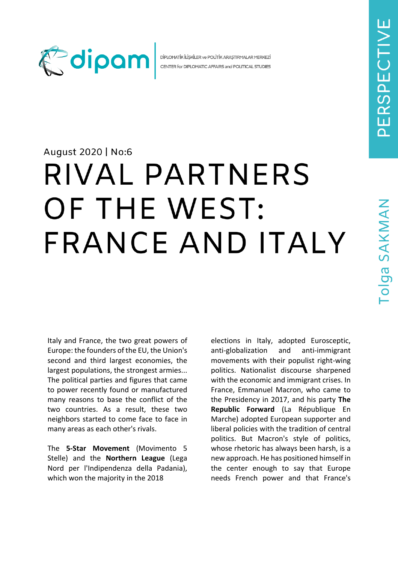

DİPLOMATİK İLİŞKİLER ve POLİTİK ARAŞTIRMALAR MERKEZİ CENTER for DIPLOMATIC AFFAIRS and POLITICAL STUDIES

## August 2020 | No:6

# RIVAL PARTNERS OF THE WEST: FRANCE AND ITALY

Italy and France, the two great powers of Europe: the founders of the EU, the Union's second and third largest economies, the largest populations, the strongest armies... The political parties and figures that came to power recently found or manufactured many reasons to base the conflict of the two countries. As a result, these two neighbors started to come face to face in many areas as each other's rivals.

The **5-Star Movement** (Movimento 5 Stelle) and the **Northern League** (Lega Nord per l'Indipendenza della Padania), which won the majority in the 2018

elections in Italy, adopted Eurosceptic, anti-globalization and anti-immigrant movements with their populist right-wing politics. Nationalist discourse sharpened with the economic and immigrant crises. In France, Emmanuel Macron, who came to the Presidency in 2017, and his party **The Republic Forward** (La République En Marche) adopted European supporter and liberal policies with the tradition of central politics. But Macron's style of politics, whose rhetoric has always been harsh, is a new approach. He has positioned himself in the center enough to say that Europe needs French power and that France's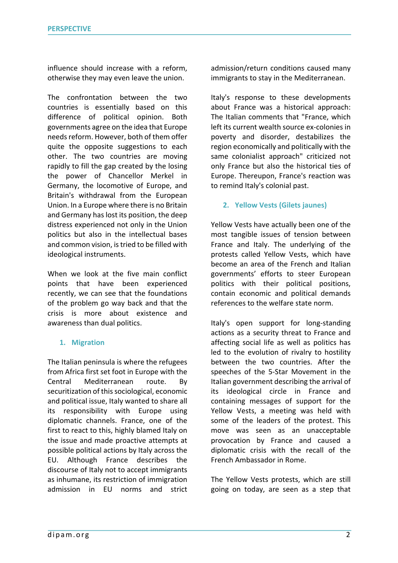influence should increase with a reform, otherwise they may even leave the union.

The confrontation between the two countries is essentially based on this difference of political opinion. Both governments agree on the idea that Europe needs reform. However, both of them offer quite the opposite suggestions to each other. The two countries are moving rapidly to fill the gap created by the losing the power of Chancellor Merkel in Germany, the locomotive of Europe, and Britain's withdrawal from the European Union. In a Europe where there is no Britain and Germany has lost its position, the deep distress experienced not only in the Union politics but also in the intellectual bases and common vision, is tried to be filled with ideological instruments.

When we look at the five main conflict points that have been experienced recently, we can see that the foundations of the problem go way back and that the crisis is more about existence and awareness than dual politics.

#### **1. Migration**

The Italian peninsula is where the refugees from Africa first set foot in Europe with the Central Mediterranean route. By securitization of this sociological, economic and political issue, Italy wanted to share all its responsibility with Europe using diplomatic channels. France, one of the first to react to this, highly blamed Italy on the issue and made proactive attempts at possible political actions by Italy across the EU. Although France describes the discourse of Italy not to accept immigrants as inhumane, its restriction of immigration admission in EU norms and strict

admission/return conditions caused many immigrants to stay in the Mediterranean.

Italy's response to these developments about France was a historical approach: The Italian comments that "France, which left its current wealth source ex-colonies in poverty and disorder, destabilizes the region economically and politically with the same colonialist approach" criticized not only France but also the historical ties of Europe. Thereupon, France's reaction was to remind Italy's colonial past.

#### **2. Yellow Vests (Gilets jaunes)**

Yellow Vests have actually been one of the most tangible issues of tension between France and Italy. The underlying of the protests called Yellow Vests, which have become an area of the French and Italian governments' efforts to steer European politics with their political positions, contain economic and political demands references to the welfare state norm.

Italy's open support for long-standing actions as a security threat to France and affecting social life as well as politics has led to the evolution of rivalry to hostility between the two countries. After the speeches of the 5-Star Movement in the Italian government describing the arrival of its ideological circle in France and containing messages of support for the Yellow Vests, a meeting was held with some of the leaders of the protest. This move was seen as an unacceptable provocation by France and caused a diplomatic crisis with the recall of the French Ambassador in Rome.

The Yellow Vests protests, which are still going on today, are seen as a step that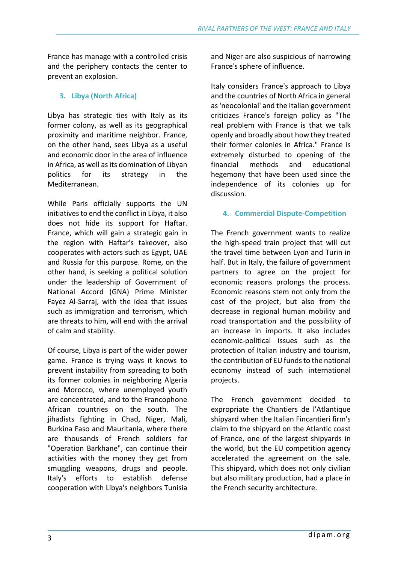France has manage with a controlled crisis and the periphery contacts the center to prevent an explosion.

## **3. Libya (North Africa)**

Libya has strategic ties with Italy as its former colony, as well as its geographical proximity and maritime neighbor. France, on the other hand, sees Libya as a useful and economic door in the area of influence in Africa, as well as its domination of Libyan politics for its strategy in the Mediterranean.

While Paris officially supports the UN initiatives to end the conflict in Libya, it also does not hide its support for Haftar. France, which will gain a strategic gain in the region with Haftar's takeover, also cooperates with actors such as Egypt, UAE and Russia for this purpose. Rome, on the other hand, is seeking a political solution under the leadership of Government of National Accord (GNA) Prime Minister Fayez Al-Sarraj, with the idea that issues such as immigration and terrorism, which are threats to him, will end with the arrival of calm and stability.

Of course, Libya is part of the wider power game. France is trying ways it knows to prevent instability from spreading to both its former colonies in neighboring Algeria and Morocco, where unemployed youth are concentrated, and to the Francophone African countries on the south. The jihadists fighting in Chad, Niger, Mali, Burkina Faso and Mauritania, where there are thousands of French soldiers for "Operation Barkhane", can continue their activities with the money they get from smuggling weapons, drugs and people. Italy's efforts to establish defense cooperation with Libya's neighbors Tunisia

and Niger are also suspicious of narrowing France's sphere of influence.

Italy considers France's approach to Libya and the countries of North Africa in general as 'neocolonial' and the Italian government criticizes France's foreign policy as "The real problem with France is that we talk openly and broadly about how they treated their former colonies in Africa." France is extremely disturbed to opening of the financial methods and educational hegemony that have been used since the independence of its colonies up for discussion.

### **4. Commercial Dispute-Competition**

The French government wants to realize the high-speed train project that will cut the travel time between Lyon and Turin in half. But in Italy, the failure of government partners to agree on the project for economic reasons prolongs the process. Economic reasons stem not only from the cost of the project, but also from the decrease in regional human mobility and road transportation and the possibility of an increase in imports. It also includes economic-political issues such as the protection of Italian industry and tourism, the contribution of EU funds to the national economy instead of such international projects.

The French government decided to expropriate the Chantiers de l'Atlantique shipyard when the Italian Fincantieri firm's claim to the shipyard on the Atlantic coast of France, one of the largest shipyards in the world, but the EU competition agency accelerated the agreement on the sale. This shipyard, which does not only civilian but also military production, had a place in the French security architecture.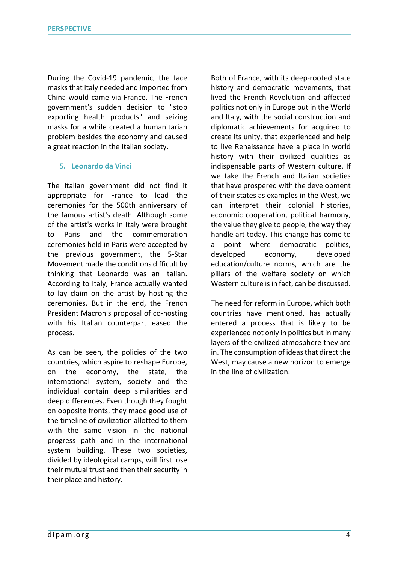During the Covid-19 pandemic, the face masks that Italy needed and imported from China would came via France. The French government's sudden decision to "stop exporting health products" and seizing masks for a while created a humanitarian problem besides the economy and caused a great reaction in the Italian society.

#### **5. Leonardo da Vinci**

The Italian government did not find it appropriate for France to lead the ceremonies for the 500th anniversary of the famous artist's death. Although some of the artist's works in Italy were brought to Paris and the commemoration ceremonies held in Paris were accepted by the previous government, the 5-Star Movement made the conditions difficult by thinking that Leonardo was an Italian. According to Italy, France actually wanted to lay claim on the artist by hosting the ceremonies. But in the end, the French President Macron's proposal of co-hosting with his Italian counterpart eased the process.

As can be seen, the policies of the two countries, which aspire to reshape Europe, on the economy, the state, the international system, society and the individual contain deep similarities and deep differences. Even though they fought on opposite fronts, they made good use of the timeline of civilization allotted to them with the same vision in the national progress path and in the international system building. These two societies, divided by ideological camps, will first lose their mutual trust and then their security in their place and history.

Both of France, with its deep-rooted state history and democratic movements, that lived the French Revolution and affected politics not only in Europe but in the World and Italy, with the social construction and diplomatic achievements for acquired to create its unity, that experienced and help to live Renaissance have a place in world history with their civilized qualities as indispensable parts of Western culture. If we take the French and Italian societies that have prospered with the development of their states as examples in the West, we can interpret their colonial histories, economic cooperation, political harmony, the value they give to people, the way they handle art today. This change has come to a point where democratic politics, developed economy, developed education/culture norms, which are the pillars of the welfare society on which Western culture is in fact, can be discussed.

The need for reform in Europe, which both countries have mentioned, has actually entered a process that is likely to be experienced not only in politics but in many layers of the civilized atmosphere they are in. The consumption of ideas that direct the West, may cause a new horizon to emerge in the line of civilization.